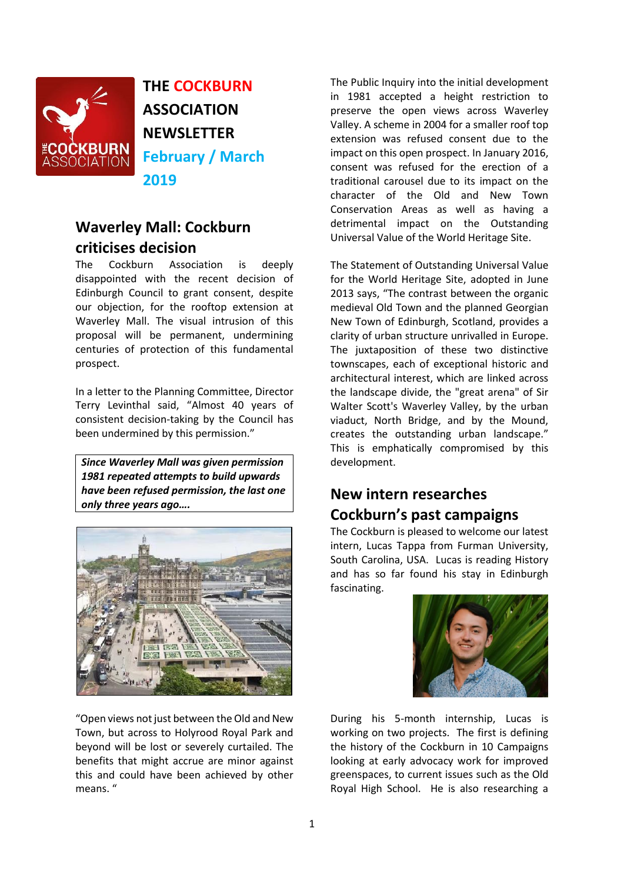

**THE COCKBURN ASSOCIATION NEWSLETTER February / March 2019**

# **Waverley Mall: Cockburn criticises decision**

The Cockburn Association is deeply disappointed with the recent decision of Edinburgh Council to grant consent, despite our objection, for the rooftop extension at Waverley Mall. The visual intrusion of this proposal will be permanent, undermining centuries of protection of this fundamental prospect.

In a letter to the Planning Committee, Director Terry Levinthal said, "Almost 40 years of consistent decision-taking by the Council has been undermined by this permission."

*Since Waverley Mall was given permission 1981 repeated attempts to build upwards have been refused permission, the last one only three years ago….*



"Open views not just between the Old and New Town, but across to Holyrood Royal Park and beyond will be lost or severely curtailed. The benefits that might accrue are minor against this and could have been achieved by other means. "

The Public Inquiry into the initial development in 1981 accepted a height restriction to preserve the open views across Waverley Valley. A scheme in 2004 for a smaller roof top extension was refused consent due to the impact on this open prospect. In January 2016, consent was refused for the erection of a traditional carousel due to its impact on the character of the Old and New Town Conservation Areas as well as having a detrimental impact on the Outstanding Universal Value of the World Heritage Site.

The Statement of Outstanding Universal Value for the World Heritage Site, adopted in June 2013 says, "The contrast between the organic medieval Old Town and the planned Georgian New Town of Edinburgh, Scotland, provides a clarity of urban structure unrivalled in Europe. The juxtaposition of these two distinctive townscapes, each of exceptional historic and architectural interest, which are linked across the landscape divide, the "great arena" of Sir Walter Scott's Waverley Valley, by the urban viaduct, North Bridge, and by the Mound, creates the outstanding urban landscape." This is emphatically compromised by this development.

# **New intern researches Cockburn's past campaigns**

The Cockburn is pleased to welcome our latest intern, Lucas Tappa from Furman University, South Carolina, USA. Lucas is reading History and has so far found his stay in Edinburgh fascinating.



During his 5-month internship, Lucas is working on two projects. The first is defining the history of the Cockburn in 10 Campaigns looking at early advocacy work for improved greenspaces, to current issues such as the Old Royal High School. He is also researching a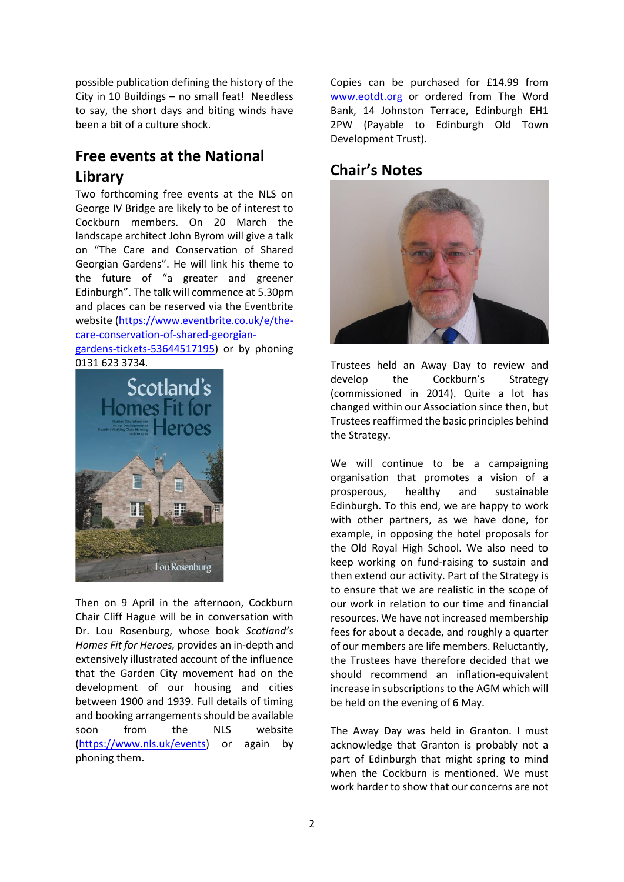possible publication defining the history of the City in 10 Buildings – no small feat! Needless to say, the short days and biting winds have been a bit of a culture shock.

# **Free events at the National Library**

Two forthcoming free events at the NLS on George IV Bridge are likely to be of interest to Cockburn members. On 20 March the landscape architect John Byrom will give a talk on "The Care and Conservation of Shared Georgian Gardens". He will link his theme to the future of "a greater and greener Edinburgh". The talk will commence at 5.30pm and places can be reserved via the Eventbrite website [\(https://www.eventbrite.co.uk/e/the](https://www.eventbrite.co.uk/e/the-care-conservation-of-shared-georgian-gardens-tickets-53644517195)[care-conservation-of-shared-georgian](https://www.eventbrite.co.uk/e/the-care-conservation-of-shared-georgian-gardens-tickets-53644517195)[gardens-tickets-53644517195\)](https://www.eventbrite.co.uk/e/the-care-conservation-of-shared-georgian-gardens-tickets-53644517195) or by phoning 0131 623 3734.



Then on 9 April in the afternoon, Cockburn Chair Cliff Hague will be in conversation with Dr. Lou Rosenburg, whose book *Scotland's Homes Fit for Heroes,* provides an in-depth and extensively illustrated account of the influence that the Garden City movement had on the development of our housing and cities between 1900 and 1939. Full details of timing and booking arrangements should be available soon from the NLS website [\(https://www.nls.uk/events\)](https://www.nls.uk/events) or again by phoning them.

Copies can be purchased for £14.99 from [www.eotdt.org](http://www.eotdt.org/) or ordered from The Word Bank, 14 Johnston Terrace, Edinburgh EH1 2PW (Payable to Edinburgh Old Town Development Trust).

## **Chair's Notes**



Trustees held an Away Day to review and develop the Cockburn's Strategy (commissioned in 2014). Quite a lot has changed within our Association since then, but Trustees reaffirmed the basic principles behind the Strategy.

We will continue to be a campaigning organisation that promotes a vision of a prosperous, healthy and sustainable Edinburgh. To this end, we are happy to work with other partners, as we have done, for example, in opposing the hotel proposals for the Old Royal High School. We also need to keep working on fund-raising to sustain and then extend our activity. Part of the Strategy is to ensure that we are realistic in the scope of our work in relation to our time and financial resources. We have not increased membership fees for about a decade, and roughly a quarter of our members are life members. Reluctantly, the Trustees have therefore decided that we should recommend an inflation-equivalent increase in subscriptions to the AGM which will be held on the evening of 6 May.

The Away Day was held in Granton. I must acknowledge that Granton is probably not a part of Edinburgh that might spring to mind when the Cockburn is mentioned. We must work harder to show that our concerns are not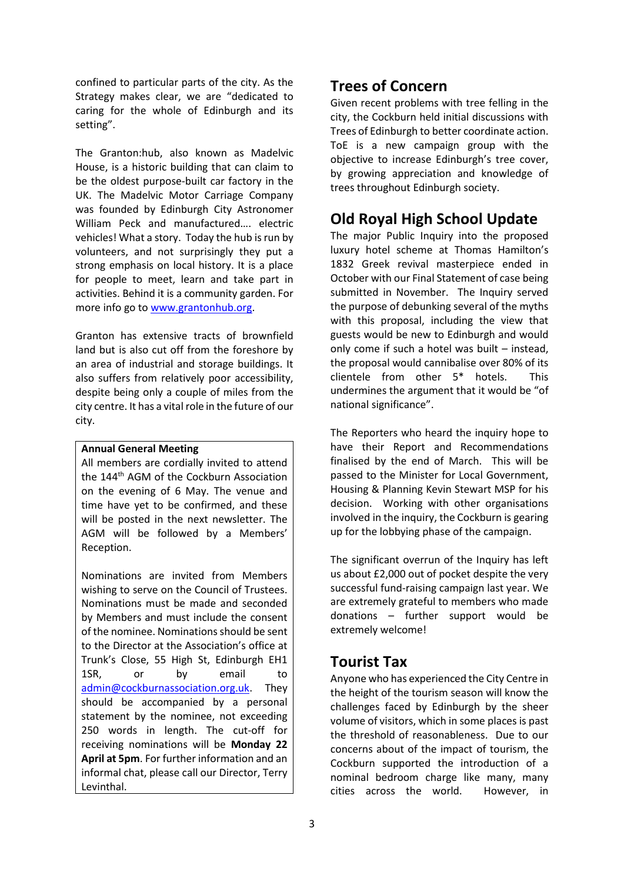confined to particular parts of the city. As the Strategy makes clear, we are "dedicated to caring for the whole of Edinburgh and its setting".

The Granton:hub, also known as Madelvic House, is a historic building that can claim to be the oldest purpose-built car factory in the UK. The Madelvic Motor Carriage Company was founded by Edinburgh City Astronomer William Peck and manufactured…. electric vehicles! What a story. Today the hub is run by volunteers, and not surprisingly they put a strong emphasis on local history. It is a place for people to meet, learn and take part in activities. Behind it is a community garden. For more info go to [www.grantonhub.org.](http://www.grantonhub.org/)

Granton has extensive tracts of brownfield land but is also cut off from the foreshore by an area of industrial and storage buildings. It also suffers from relatively poor accessibility, despite being only a couple of miles from the city centre. It has a vital role in the future of our city.

#### **Annual General Meeting**

All members are cordially invited to attend the 144th AGM of the Cockburn Association on the evening of 6 May. The venue and time have yet to be confirmed, and these will be posted in the next newsletter. The AGM will be followed by a Members' Reception.

Nominations are invited from Members wishing to serve on the Council of Trustees. Nominations must be made and seconded by Members and must include the consent of the nominee. Nominations should be sent to the Director at the Association's office at Trunk's Close, 55 High St, Edinburgh EH1 1SR, or by email to [admin@cockburnassociation.org.uk.](mailto:admin@cockburnassociation.org.uk) They should be accompanied by a personal statement by the nominee, not exceeding 250 words in length. The cut-off for receiving nominations will be **Monday 22 April at 5pm**. For further information and an informal chat, please call our Director, Terry Levinthal.

## **Trees of Concern**

Given recent problems with tree felling in the city, the Cockburn held initial discussions with Trees of Edinburgh to better coordinate action. ToE is a new campaign group with the objective to increase Edinburgh's tree cover, by growing appreciation and knowledge of trees throughout Edinburgh society.

# **Old Royal High School Update**

The major Public Inquiry into the proposed luxury hotel scheme at Thomas Hamilton's 1832 Greek revival masterpiece ended in October with our Final Statement of case being submitted in November. The Inquiry served the purpose of debunking several of the myths with this proposal, including the view that guests would be new to Edinburgh and would only come if such a hotel was built – instead, the proposal would cannibalise over 80% of its clientele from other 5\* hotels. This undermines the argument that it would be "of national significance".

The Reporters who heard the inquiry hope to have their Report and Recommendations finalised by the end of March. This will be passed to the Minister for Local Government, Housing & Planning Kevin Stewart MSP for his decision. Working with other organisations involved in the inquiry, the Cockburn is gearing up for the lobbying phase of the campaign.

The significant overrun of the Inquiry has left us about £2,000 out of pocket despite the very successful fund-raising campaign last year. We are extremely grateful to members who made donations – further support would be extremely welcome!

### **Tourist Tax**

Anyone who has experienced the City Centre in the height of the tourism season will know the challenges faced by Edinburgh by the sheer volume of visitors, which in some places is past the threshold of reasonableness. Due to our concerns about of the impact of tourism, the Cockburn supported the introduction of a nominal bedroom charge like many, many cities across the world. However, in